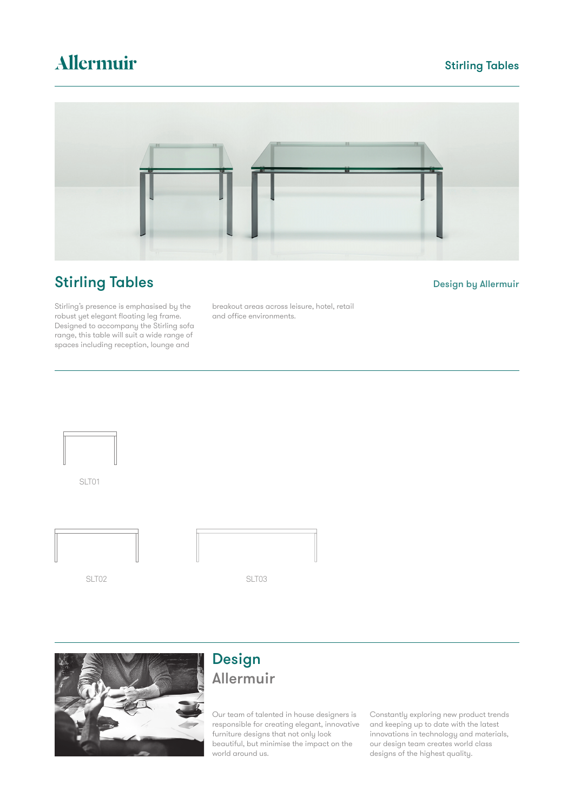# Allermuir

### Stirling Tables



## **Stirling Tables** Design by Allermuir

Stirling's presence is emphasised by the robust yet elegant floating leg frame. Designed to accompany the Stirling sofa range, this table will suit a wide range of spaces including reception, lounge and

breakout areas across leisure, hotel, retail and office environments.



SLT01







## Design Allermuir

Our team of talented in house designers is responsible for creating elegant, innovative furniture designs that not only look beautiful, but minimise the impact on the world around us.

Constantly exploring new product trends and keeping up to date with the latest innovations in technology and materials, our design team creates world class designs of the highest quality.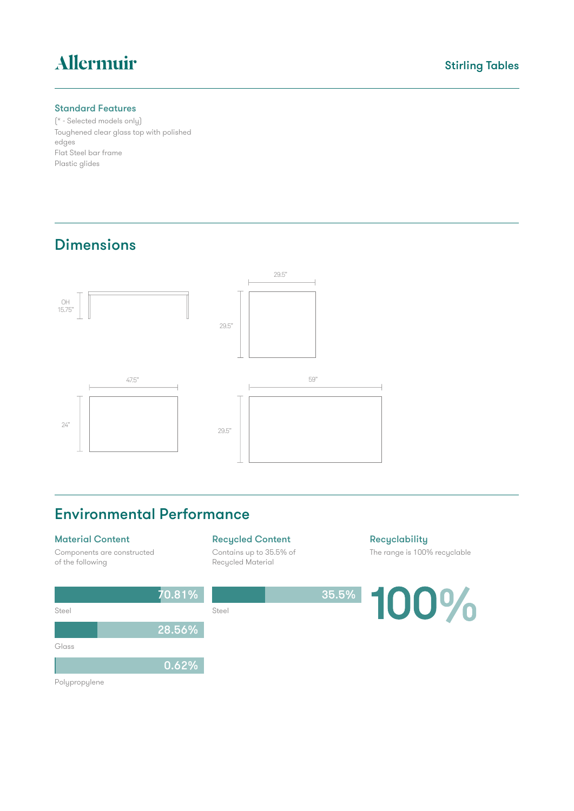# Allermuir

#### Standard Features

(\* - Selected models only) Toughened clear glass top with polished edges Flat Steel bar frame Plastic glides

### Dimensions



### Environmental Performance

Steel Steel

70.81%

28.56%

0.62%

#### Material Content

Components are constructed of the following

#### Recycled Content

Contains up to 35.5% of Recycled Material

**Recyclability** The range is 100% recyclable



Polypropylene

Glass